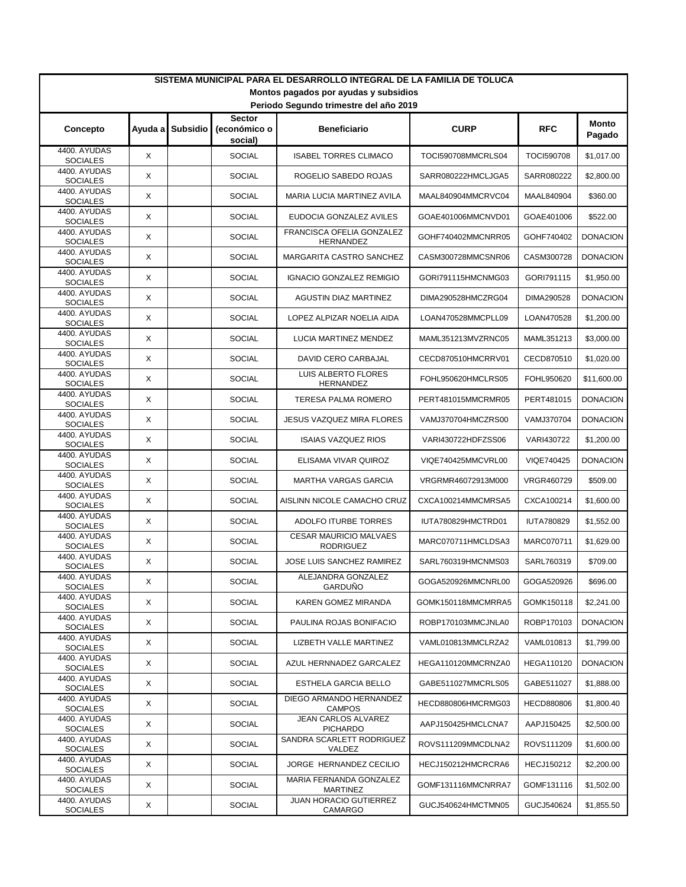| SISTEMA MUNICIPAL PARA EL DESARROLLO INTEGRAL DE LA FAMILIA DE TOLUCA           |                           |                 |                         |                                                   |                    |                   |                 |  |  |  |  |  |
|---------------------------------------------------------------------------------|---------------------------|-----------------|-------------------------|---------------------------------------------------|--------------------|-------------------|-----------------|--|--|--|--|--|
| Montos pagados por ayudas y subsidios<br>Periodo Segundo trimestre del año 2019 |                           |                 |                         |                                                   |                    |                   |                 |  |  |  |  |  |
| <b>Sector</b><br><b>Monto</b>                                                   |                           |                 |                         |                                                   |                    |                   |                 |  |  |  |  |  |
| Concepto                                                                        | Ayuda al                  | <b>Subsidio</b> | (económico o<br>social) | <b>Beneficiario</b>                               | <b>CURP</b>        | <b>RFC</b>        | Pagado          |  |  |  |  |  |
| 4400. AYUDAS<br><b>SOCIALES</b>                                                 | X                         |                 | <b>SOCIAL</b>           | <b>ISABEL TORRES CLIMACO</b>                      | TOCI590708MMCRLS04 | <b>TOCI590708</b> | \$1,017.00      |  |  |  |  |  |
| 4400. AYUDAS<br><b>SOCIALES</b>                                                 | X                         |                 | <b>SOCIAL</b>           | ROGELIO SABEDO ROJAS                              | SARR080222HMCLJGA5 | SARR080222        | \$2,800.00      |  |  |  |  |  |
| 4400. AYUDAS<br><b>SOCIALES</b>                                                 | X                         |                 | SOCIAL                  | MARIA LUCIA MARTINEZ AVILA                        | MAAL840904MMCRVC04 | MAAL840904        | \$360.00        |  |  |  |  |  |
| 4400. AYUDAS<br><b>SOCIALES</b>                                                 | X                         |                 | <b>SOCIAL</b>           | EUDOCIA GONZALEZ AVILES                           | GOAE401006MMCNVD01 | GOAE401006        | \$522.00        |  |  |  |  |  |
| 4400. AYUDAS<br><b>SOCIALES</b>                                                 | $\boldsymbol{\mathsf{X}}$ |                 | <b>SOCIAL</b>           | FRANCISCA OFELIA GONZALEZ<br>HERNANDEZ            | GOHF740402MMCNRR05 | GOHF740402        | <b>DONACION</b> |  |  |  |  |  |
| 4400. AYUDAS<br><b>SOCIALES</b>                                                 | $\boldsymbol{\mathsf{X}}$ |                 | <b>SOCIAL</b>           | MARGARITA CASTRO SANCHEZ                          | CASM300728MMCSNR06 | CASM300728        | <b>DONACION</b> |  |  |  |  |  |
| 4400. AYUDAS<br><b>SOCIALES</b>                                                 | X                         |                 | <b>SOCIAL</b>           | <b>IGNACIO GONZALEZ REMIGIO</b>                   | GORI791115HMCNMG03 | GORI791115        | \$1,950.00      |  |  |  |  |  |
| 4400. AYUDAS<br><b>SOCIALES</b>                                                 | X                         |                 | <b>SOCIAL</b>           | AGUSTIN DIAZ MARTINEZ                             | DIMA290528HMCZRG04 | DIMA290528        | <b>DONACION</b> |  |  |  |  |  |
| 4400. AYUDAS<br><b>SOCIALES</b>                                                 | X                         |                 | <b>SOCIAL</b>           | LOPEZ ALPIZAR NOELIA AIDA                         | LOAN470528MMCPLL09 | LOAN470528        | \$1,200.00      |  |  |  |  |  |
| 4400. AYUDAS<br><b>SOCIALES</b>                                                 | X                         |                 | <b>SOCIAL</b>           | LUCIA MARTINEZ MENDEZ                             | MAML351213MVZRNC05 | MAML351213        | \$3,000.00      |  |  |  |  |  |
| 4400. AYUDAS<br><b>SOCIALES</b>                                                 | X                         |                 | <b>SOCIAL</b>           | DAVID CERO CARBAJAL                               | CECD870510HMCRRV01 | CECD870510        | \$1,020.00      |  |  |  |  |  |
| 4400. AYUDAS<br><b>SOCIALES</b>                                                 | X                         |                 | <b>SOCIAL</b>           | <b>LUIS ALBERTO FLORES</b><br><b>HERNANDEZ</b>    | FOHL950620HMCLRS05 | FOHL950620        | \$11,600.00     |  |  |  |  |  |
| 4400. AYUDAS<br><b>SOCIALES</b>                                                 | X                         |                 | <b>SOCIAL</b>           | TERESA PALMA ROMERO                               | PERT481015MMCRMR05 | PERT481015        | <b>DONACION</b> |  |  |  |  |  |
| 4400. AYUDAS<br><b>SOCIALES</b>                                                 | X                         |                 | <b>SOCIAL</b>           | <b>JESUS VAZQUEZ MIRA FLORES</b>                  | VAMJ370704HMCZRS00 | VAMJ370704        | <b>DONACION</b> |  |  |  |  |  |
| 4400. AYUDAS<br><b>SOCIALES</b>                                                 | X                         |                 | <b>SOCIAL</b>           | <b>ISAIAS VAZQUEZ RIOS</b>                        | VARI430722HDFZSS06 | VARI430722        | \$1,200.00      |  |  |  |  |  |
| 4400. AYUDAS<br><b>SOCIALES</b>                                                 | X                         |                 | <b>SOCIAL</b>           | ELISAMA VIVAR QUIROZ                              | VIQE740425MMCVRL00 | VIQE740425        | <b>DONACION</b> |  |  |  |  |  |
| 4400. AYUDAS<br><b>SOCIALES</b>                                                 | X                         |                 | <b>SOCIAL</b>           | <b>MARTHA VARGAS GARCIA</b>                       | VRGRMR46072913M000 | VRGR460729        | \$509.00        |  |  |  |  |  |
| 4400. AYUDAS<br><b>SOCIALES</b>                                                 | X                         |                 | <b>SOCIAL</b>           | AISLINN NICOLE CAMACHO CRUZ                       | CXCA100214MMCMRSA5 | CXCA100214        | \$1,600.00      |  |  |  |  |  |
| 4400. AYUDAS<br><b>SOCIALES</b>                                                 | X                         |                 | <b>SOCIAL</b>           | ADOLFO ITURBE TORRES                              | IUTA780829HMCTRD01 | <b>IUTA780829</b> | \$1,552.00      |  |  |  |  |  |
| 4400. AYUDAS<br><b>SOCIALES</b>                                                 | $\boldsymbol{\mathsf{X}}$ |                 | <b>SOCIAL</b>           | <b>CESAR MAURICIO MALVAES</b><br><b>RODRIGUEZ</b> | MARC070711HMCLDSA3 | MARC070711        | \$1,629.00      |  |  |  |  |  |
| 4400. AYUDAS<br><b>SOCIALES</b>                                                 | X                         |                 | <b>SOCIAL</b>           | JOSE LUIS SANCHEZ RAMIREZ                         | SARL760319HMCNMS03 | SARL760319        | \$709.00        |  |  |  |  |  |
| 4400. AYUDAS<br><b>SOCIALES</b>                                                 | X                         |                 | <b>SOCIAL</b>           | ALEJANDRA GONZALEZ<br>GARDUÑO                     | GOGA520926MMCNRL00 | GOGA520926        | \$696.00        |  |  |  |  |  |
| 4400. AYUDAS<br><b>SOCIALES</b>                                                 | X                         |                 | <b>SOCIAL</b>           | KAREN GOMEZ MIRANDA                               | GOMK150118MMCMRRA5 | GOMK150118        | \$2,241.00      |  |  |  |  |  |
| 4400. AYUDAS<br><b>SOCIALES</b>                                                 | X                         |                 | <b>SOCIAL</b>           | PAULINA ROJAS BONIFACIO                           | ROBP170103MMCJNLA0 | ROBP170103        | <b>DONACION</b> |  |  |  |  |  |
| 4400. AYUDAS<br><b>SOCIALES</b>                                                 | X                         |                 | <b>SOCIAL</b>           | LIZBETH VALLE MARTINEZ                            | VAML010813MMCLRZA2 | VAML010813        | \$1,799.00      |  |  |  |  |  |
| 4400. AYUDAS<br><b>SOCIALES</b>                                                 | X                         |                 | <b>SOCIAL</b>           | AZUL HERNNADEZ GARCALEZ                           | HEGA110120MMCRNZA0 | <b>HEGA110120</b> | <b>DONACION</b> |  |  |  |  |  |
| 4400. AYUDAS<br><b>SOCIALES</b>                                                 | X                         |                 | <b>SOCIAL</b>           | ESTHELA GARCIA BELLO                              | GABE511027MMCRLS05 | GABE511027        | \$1,888.00      |  |  |  |  |  |
| 4400. AYUDAS<br><b>SOCIALES</b>                                                 | X                         |                 | <b>SOCIAL</b>           | DIEGO ARMANDO HERNANDEZ<br><b>CAMPOS</b>          | HECD880806HMCRMG03 | HECD880806        | \$1,800.40      |  |  |  |  |  |
| 4400. AYUDAS<br><b>SOCIALES</b>                                                 | X                         |                 | <b>SOCIAL</b>           | JEAN CARLOS ALVAREZ<br><b>PICHARDO</b>            | AAPJ150425HMCLCNA7 | AAPJ150425        | \$2,500.00      |  |  |  |  |  |
| 4400. AYUDAS<br><b>SOCIALES</b>                                                 | X                         |                 | <b>SOCIAL</b>           | SANDRA SCARLETT RODRIGUEZ<br>VALDEZ               | ROVS111209MMCDLNA2 | ROVS111209        | \$1,600.00      |  |  |  |  |  |
| 4400. AYUDAS<br><b>SOCIALES</b>                                                 | X                         |                 | <b>SOCIAL</b>           | JORGE HERNANDEZ CECILIO                           | HECJ150212HMCRCRA6 | <b>HECJ150212</b> | \$2,200.00      |  |  |  |  |  |
| 4400. AYUDAS<br><b>SOCIALES</b>                                                 | X                         |                 | <b>SOCIAL</b>           | MARIA FERNANDA GONZALEZ<br><b>MARTINEZ</b>        | GOMF131116MMCNRRA7 | GOMF131116        | \$1,502.00      |  |  |  |  |  |
| 4400. AYUDAS<br><b>SOCIALES</b>                                                 | X                         |                 | <b>SOCIAL</b>           | JUAN HORACIO GUTIERREZ<br>CAMARGO                 | GUCJ540624HMCTMN05 | GUCJ540624        | \$1,855.50      |  |  |  |  |  |